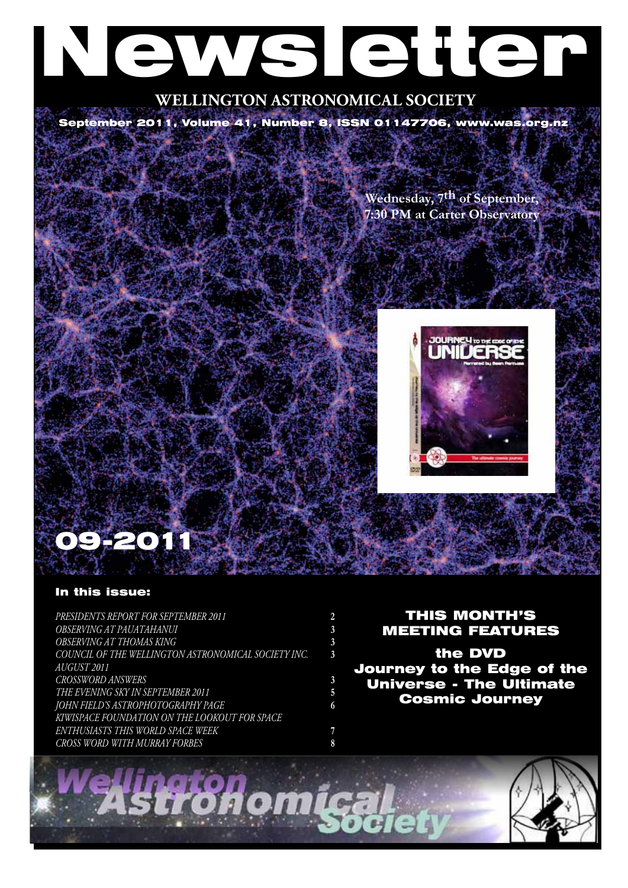# Newsletter

# **WELLINGTON ASTRONOMICAL SOCIETY**

September 2011, Volume 41, Number 8, ISSN 01147706, www.was.org.nz

**Wednesday, 7th of September, 7:30 PM at Carter Observatory**



# 09-2011

# In this issue:

*Presidents Report for September 2011* **2** *OBSERVING AT PAUATAHANUI* **3** *OBSERVING AT THOMAS KING* **3** *COUNCIL OF THE WELLINGTON ASTRONOMICAL SOCIETY INC.* **3** *August 2011 Crossword answers* **3** *The Evening Sky in September 2011* **5** *John Field's astrophotography page* **6** *KiwiSpace Foundation on the lookout for space enthusiasts this World Space Week* **7** *Cross Word with Murray Forbes* **8**

# THIS MONTH'S MEETING FEATURES

the DVD Journey to the Edge of the Universe - The Ultimate Cosmic Journey

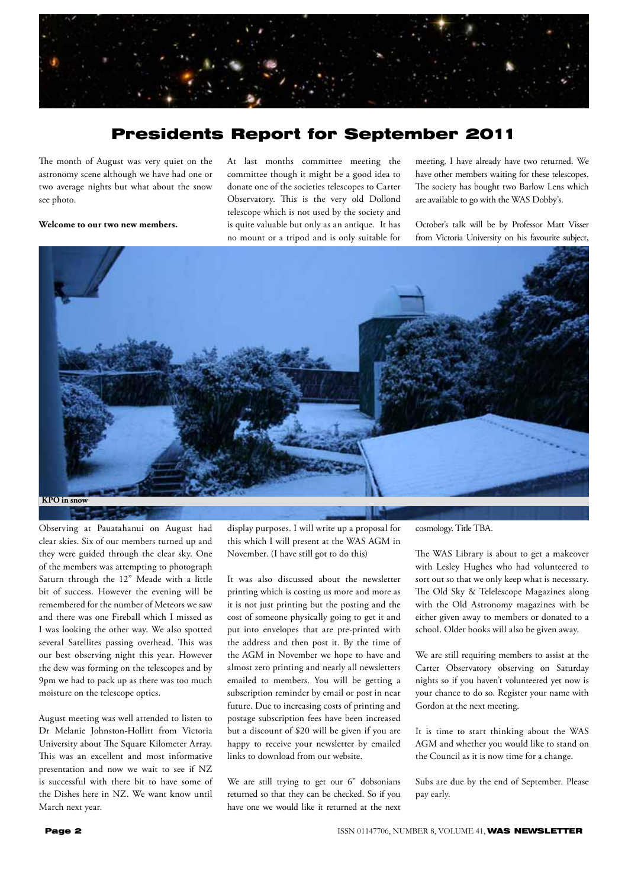

# Presidents Report for September 2011

The month of August was very quiet on the astronomy scene although we have had one or two average nights but what about the snow see photo.

**Welcome to our two new members.**

At last months committee meeting the committee though it might be a good idea to donate one of the societies telescopes to Carter Observatory. This is the very old Dollond telescope which is not used by the society and is quite valuable but only as an antique. It has no mount or a tripod and is only suitable for meeting. I have already have two returned. We have other members waiting for these telescopes. The society has bought two Barlow Lens which are available to go with the WAS Dobby's.

October's talk will be by Professor Matt Visser from Victoria University on his favourite subject,



Observing at Pauatahanui on August had clear skies. Six of our members turned up and they were guided through the clear sky. One of the members was attempting to photograph Saturn through the 12" Meade with a little bit of success. However the evening will be remembered for the number of Meteors we saw and there was one Fireball which I missed as I was looking the other way. We also spotted several Satellites passing overhead. This was our best observing night this year. However the dew was forming on the telescopes and by 9pm we had to pack up as there was too much moisture on the telescope optics.

August meeting was well attended to listen to Dr Melanie Johnston-Hollitt from Victoria University about The Square Kilometer Array. This was an excellent and most informative presentation and now we wait to see if NZ is successful with there bit to have some of the Dishes here in NZ. We want know until March next year.

display purposes. I will write up a proposal for this which I will present at the WAS AGM in November. (I have still got to do this)

It was also discussed about the newsletter printing which is costing us more and more as it is not just printing but the posting and the cost of someone physically going to get it and put into envelopes that are pre-printed with the address and then post it. By the time of the AGM in November we hope to have and almost zero printing and nearly all newsletters emailed to members. You will be getting a subscription reminder by email or post in near future. Due to increasing costs of printing and postage subscription fees have been increased but a discount of \$20 will be given if you are happy to receive your newsletter by emailed links to download from our website.

We are still trying to get our 6" dobsonians returned so that they can be checked. So if you have one we would like it returned at the next cosmology. Title TBA.

The WAS Library is about to get a makeover with Lesley Hughes who had volunteered to sort out so that we only keep what is necessary. The Old Sky & Telelescope Magazines along with the Old Astronomy magazines with be either given away to members or donated to a school. Older books will also be given away.

We are still requiring members to assist at the Carter Observatory observing on Saturday nights so if you haven't volunteered yet now is your chance to do so. Register your name with Gordon at the next meeting.

It is time to start thinking about the WAS AGM and whether you would like to stand on the Council as it is now time for a change.

Subs are due by the end of September. Please pay early.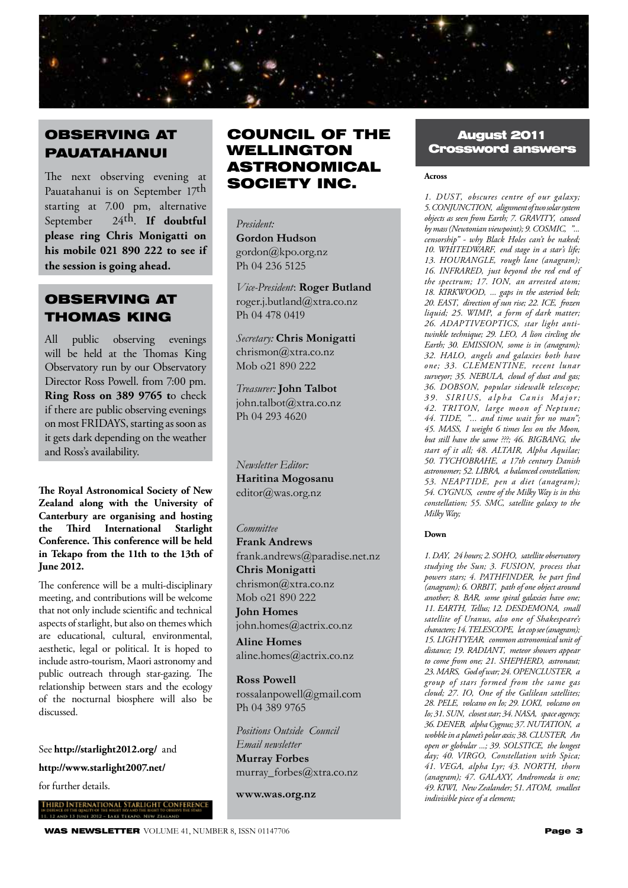

# OBSERVING AT PAUATAHANUI

The next observing evening at Pauatahanui is on September 17th starting at 7.00 pm, alternative September 24th. **If doubtful please ring Chris Monigatti on his mobile 021 890 222 to see if the session is going ahead.**

# OBSERVING AT THOMAS KING

All public observing evenings will be held at the Thomas King Observatory run by our Observatory Director Ross Powell. from 7:00 pm. **Ring Ross on 389 9765 t**o check if there are public observing evenings on most FRIDAYS, starting as soon as it gets dark depending on the weather and Ross's availability.

**The Royal Astronomical Society of New Zealand along with the University of Canterbury are organising and hosting the Third International Starlight Conference. This conference will be held in Tekapo from the 11th to the 13th of June 2012.** 

The conference will be a multi-disciplinary meeting, and contributions will be welcome that not only include scientific and technical aspects of starlight, but also on themes which are educational, cultural, environmental, aesthetic, legal or political. It is hoped to include astro-tourism, Maori astronomy and public outreach through star-gazing. The relationship between stars and the ecology of the nocturnal biosphere will also be discussed.

See **http://starlight2012.org/** and

**http://www.starlight2007.net/** 

for further details.

# COUNCIL OF THE WELLINGTON ASTRONOMICAL SOCIETY INC.

*President:*  **Gordon Hudson** gordon@kpo.org.nz Ph 04 236 5125

*Vice-President*: **Roger Butland** roger.j.butland@xtra.co.nz Ph 04 478 0419

*Secretary:* **Chris Monigatti** chrismon@xtra.co.nz Mob o21 890 222

*Treasurer:* **John Talbot** john.talbot@xtra.co.nz Ph 04 293 4620

*Newsletter Editor:*  **Haritina Mogosanu** editor@was.org.nz

#### *Committee*

**Frank Andrews** frank.andrews@paradise.net.nz **Chris Monigatti** chrismon@xtra.co.nz Mob o21 890 222

**John Homes** john.homes@actrix.co.nz **Aline Homes** aline.homes@actrix.co.nz

**Ross Powell**

rossalanpowell@gmail.com Ph 04 389 9765

*Positions Outside Council Email newsletter* **Murray Forbes** murray\_forbes@xtra.co.nz

**www.was.org.nz**

# August 2011 Crossword answers

#### **Across**

*1. DUST' obscures centre of our galaxy; 5. CONJUNCTION' alignment of two solar system objects as seen from Earth; 7. GRAVITY' caused by mass (Newtonian viewpoint); 9. COSMIC' "... censorship" - why Black Holes can't be naked; 10. WHITEDWARF' end stage in a star's life; 13. HOURANGLE' rough lane (anagram); 16. INFRARED' just beyond the red end of the spectrum; 17. ION' an arrested atom;*  18. KIRKWOOD, ... gaps in the asteriod belt; *20. EAST' direction of sun rise; 22. ICE' frozen liquid; 25. WIMP' a form of dark matter; 26. ADAPTIVEOPTICS' star light antitwinkle technique; 29. LEO' A lion circling the Earth; 30. EMISSION' some is in (anagram); 32. HALO' angels and galaxies both have one; 33. CLEMENTINE' recent lunar surveyor; 35. NEBULA' cloud of dust and gas; 36. DOBSON' popular sidewalk telescope;*  39. SIRIUS, alpha Canis Major; *42. TRITON' large moon of Neptune; 44. TIDE' "... and time wait for no man"; 45. MASS' I weight 6 times less on the Moon,*  but still have the same ???; 46. BIGBANG, the *start of it all; 48. ALTAIR' Alpha Aquilae; 50. TYCHOBRAHE' a 17th century Danish astronomer; 52. LIBRA' a balanced constellation; 53. NEAPTIDE' pen a diet (anagram); 54. CYGNUS' centre of the Milky Way is in this constellation; 55. SMC' satellite galaxy to the Milky Way;* 

#### **Down**

*1. DAY' 24 hours; 2. SOHO' satellite observatory studying the Sun; 3. FUSION' process that powers stars; 4. PATHFINDER' he part find (anagram); 6. ORBIT' path of one object around another; 8. BAR' some spiral galaxies have one; 11. EARTH' Tellus; 12. DESDEMONA' small satellite of Uranus, also one of Shakespeare's characters; 14. TELESCOPE' let cop see (anagram); 15. LIGHTYEAR' common astronomical unit of distance; 19. RADIANT' meteor showers appear*  to come from one; 21. SHEPHERD, astronaut; *23. MARS' God of war; 24. OPENCLUSTER' a group of stars formed from the same gas cloud; 27. IO' One of the Galilean satellites; 28. PELE' volcano on Io; 29. LOKI' volcano on Io; 31. SUN' closest star; 34. NASA' space agency; 36. DENEB' alpha Cygnus; 37. NUTATION' a wobble in a planet's polar axis; 38. CLUSTER' An open or globular ...; 39. SOLSTICE' the longest day; 40. VIRGO' Constellation with Spica; 41. VEGA' alpha Lyr; 43. NORTH' thorn*  (anagram); 47. GALAXY, Andromeda is one; *49. KIWI' New Zealander; 51. ATOM' smallest indivisible piece of a element;*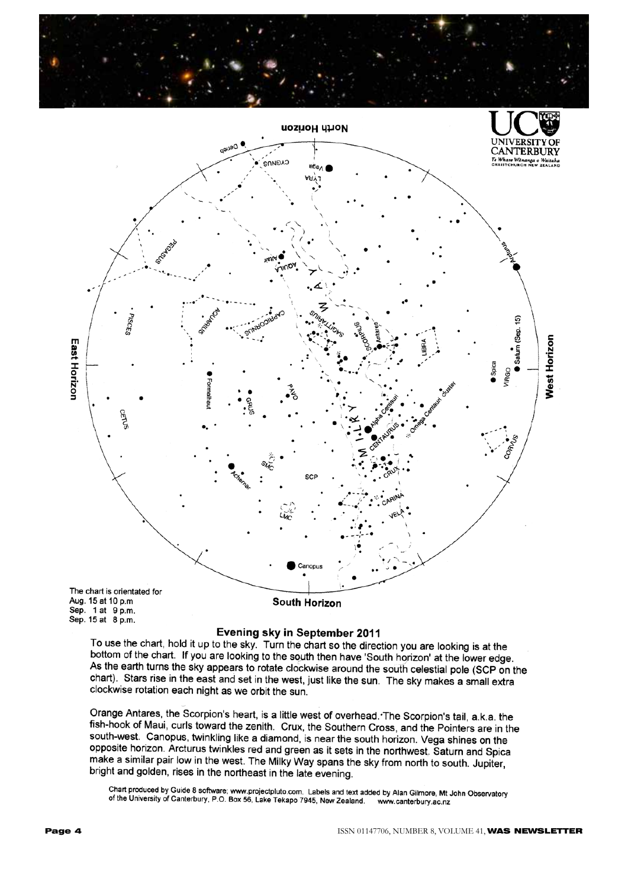



Sep. 1 at 9 p.m. Sep. 15 at 8 p.m.

#### Evening sky in September 2011

To use the chart, hold it up to the sky. Turn the chart so the direction you are looking is at the bottom of the chart. If you are looking to the south then have 'South horizon' at the lower edge. As the earth turns the sky appears to rotate clockwise around the south celestial pole (SCP on the chart). Stars rise in the east and set in the west, just like the sun. The sky makes a small extra clockwise rotation each night as we orbit the sun.

Orange Antares, the Scorpion's heart, is a little west of overhead. The Scorpion's tail, a.k.a. the fish-hook of Maui, curls toward the zenith. Crux, the Southern Cross, and the Pointers are in the south-west. Canopus, twinkling like a diamond, is near the south horizon. Vega shines on the opposite horizon. Arcturus twinkles red and green as it sets in the northwest. Saturn and Spica make a similar pair low in the west. The Milky Way spans the sky from north to south. Jupiter, bright and golden, rises in the northeast in the late evening.

Chart produced by Guide 8 software; www.projectpluto.com. Labels and text added by Alan Gilmore, Mt John Observatory of the University of Canterbury, P.O. Box 56, Lake Tekapo 7945, New Zealand. www.canterbury.ac.nz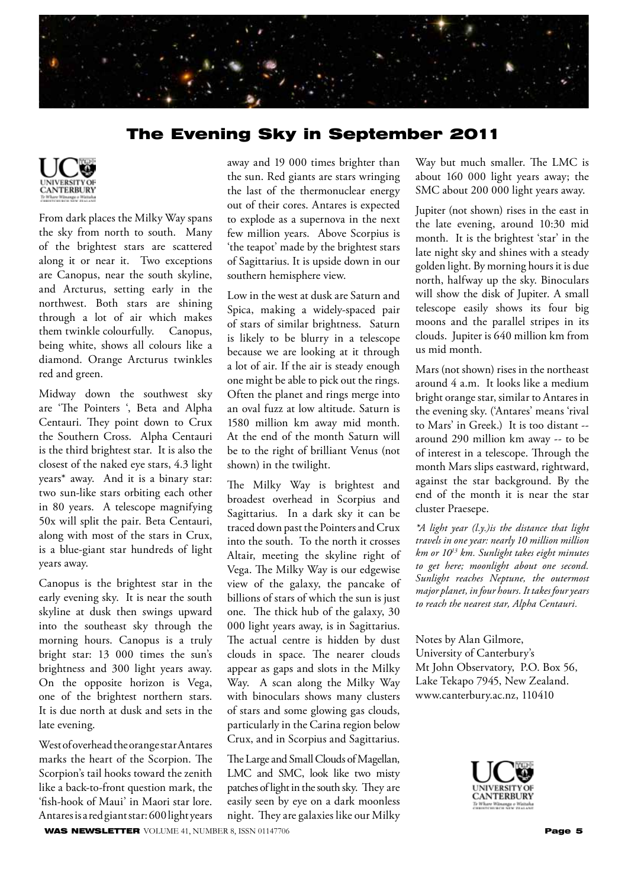

# The Evening Sky in September 2011



From dark places the Milky Way spans the sky from north to south. Many of the brightest stars are scattered along it or near it. Two exceptions are Canopus, near the south skyline, and Arcturus, setting early in the northwest. Both stars are shining through a lot of air which makes them twinkle colourfully. Canopus, being white, shows all colours like a diamond. Orange Arcturus twinkles red and green.

Midway down the southwest sky are 'The Pointers ', Beta and Alpha Centauri. They point down to Crux the Southern Cross. Alpha Centauri is the third brightest star. It is also the closest of the naked eye stars, 4.3 light years\* away. And it is a binary star: two sun-like stars orbiting each other in 80 years. A telescope magnifying 50x will split the pair. Beta Centauri, along with most of the stars in Crux, is a blue-giant star hundreds of light years away.

Canopus is the brightest star in the early evening sky. It is near the south skyline at dusk then swings upward into the southeast sky through the morning hours. Canopus is a truly bright star: 13 000 times the sun's brightness and 300 light years away. On the opposite horizon is Vega, one of the brightest northern stars. It is due north at dusk and sets in the late evening.

West of overhead the orange star Antares marks the heart of the Scorpion. The Scorpion's tail hooks toward the zenith like a back-to-front question mark, the 'fish-hook of Maui' in Maori star lore. Antares is a red giant star: 600 light years away and 19 000 times brighter than the sun. Red giants are stars wringing the last of the thermonuclear energy out of their cores. Antares is expected to explode as a supernova in the next few million years. Above Scorpius is 'the teapot' made by the brightest stars of Sagittarius. It is upside down in our southern hemisphere view.

Low in the west at dusk are Saturn and Spica, making a widely-spaced pair of stars of similar brightness. Saturn is likely to be blurry in a telescope because we are looking at it through a lot of air. If the air is steady enough one might be able to pick out the rings. Often the planet and rings merge into an oval fuzz at low altitude. Saturn is 1580 million km away mid month. At the end of the month Saturn will be to the right of brilliant Venus (not shown) in the twilight.

The Milky Way is brightest and broadest overhead in Scorpius and Sagittarius. In a dark sky it can be traced down past the Pointers and Crux into the south. To the north it crosses Altair, meeting the skyline right of Vega. The Milky Way is our edgewise view of the galaxy, the pancake of billions of stars of which the sun is just one. The thick hub of the galaxy, 30 000 light years away, is in Sagittarius. The actual centre is hidden by dust clouds in space. The nearer clouds appear as gaps and slots in the Milky Way. A scan along the Milky Way with binoculars shows many clusters of stars and some glowing gas clouds, particularly in the Carina region below Crux, and in Scorpius and Sagittarius.

The Large and Small Clouds of Magellan, LMC and SMC, look like two misty patches of light in the south sky. They are easily seen by eye on a dark moonless night. They are galaxies like our Milky

Way but much smaller. The LMC is about 160 000 light years away; the SMC about 200 000 light years away.

Jupiter (not shown) rises in the east in the late evening, around 10:30 mid month. It is the brightest 'star' in the late night sky and shines with a steady golden light. By morning hours it is due north, halfway up the sky. Binoculars will show the disk of Jupiter. A small telescope easily shows its four big moons and the parallel stripes in its clouds. Jupiter is 640 million km from us mid month.

Mars (not shown) rises in the northeast around 4 a.m. It looks like a medium bright orange star, similar to Antares in the evening sky. ('Antares' means 'rival to Mars' in Greek.) It is too distant - around 290 million km away -- to be of interest in a telescope. Through the month Mars slips eastward, rightward, against the star background. By the end of the month it is near the star cluster Praesepe.

*\*A light year (l.y.)is the distance that light travels in one year: nearly 10 million million km or 1013 km. Sunlight takes eight minutes to get here; moonlight about one second. Sunlight reaches Neptune, the outermost major planet, in four hours. It takes four years to reach the nearest star, Alpha Centauri.*

Notes by Alan Gilmore, University of Canterbury's Mt John Observatory, P.O. Box 56, Lake Tekapo 7945, New Zealand. www.canterbury.ac.nz, 110410

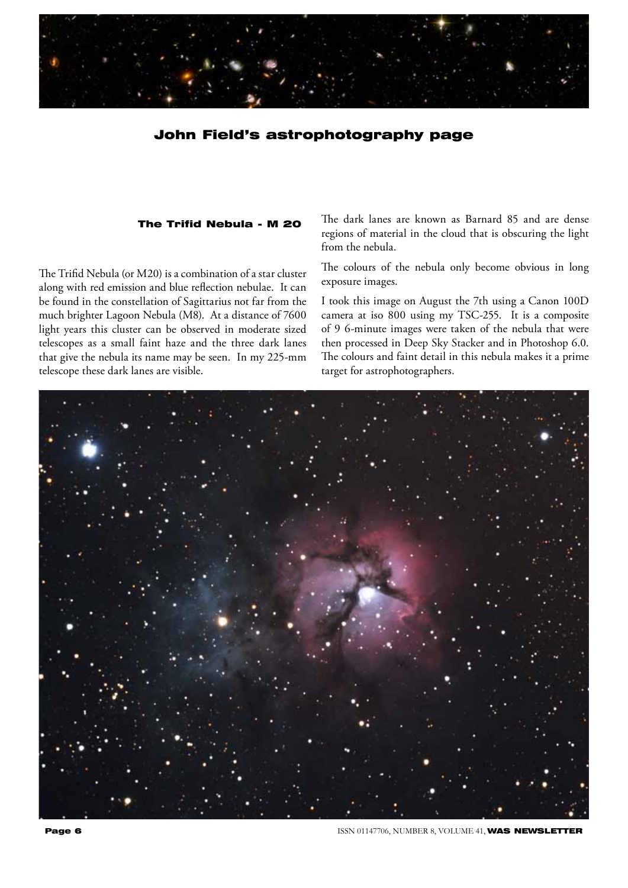

### John Field's astrophotography page

#### The Trifid Nebula - M 20

The Trifid Nebula (or M20) is a combination of a star cluster along with red emission and blue reflection nebulae. It can be found in the constellation of Sagittarius not far from the much brighter Lagoon Nebula (M8). At a distance of 7600 light years this cluster can be observed in moderate sized telescopes as a small faint haze and the three dark lanes that give the nebula its name may be seen. In my 225-mm telescope these dark lanes are visible.

The dark lanes are known as Barnard 85 and are dense regions of material in the cloud that is obscuring the light from the nebula.

The colours of the nebula only become obvious in long exposure images.

I took this image on August the 7th using a Canon 100D camera at iso 800 using my TSC-255. It is a composite of 9 6-minute images were taken of the nebula that were then processed in Deep Sky Stacker and in Photoshop 6.0. The colours and faint detail in this nebula makes it a prime target for astrophotographers.



**Page 6 ISSN 01147706, NUMBER 8, VOLUME 41, WAS NEWSLETTER**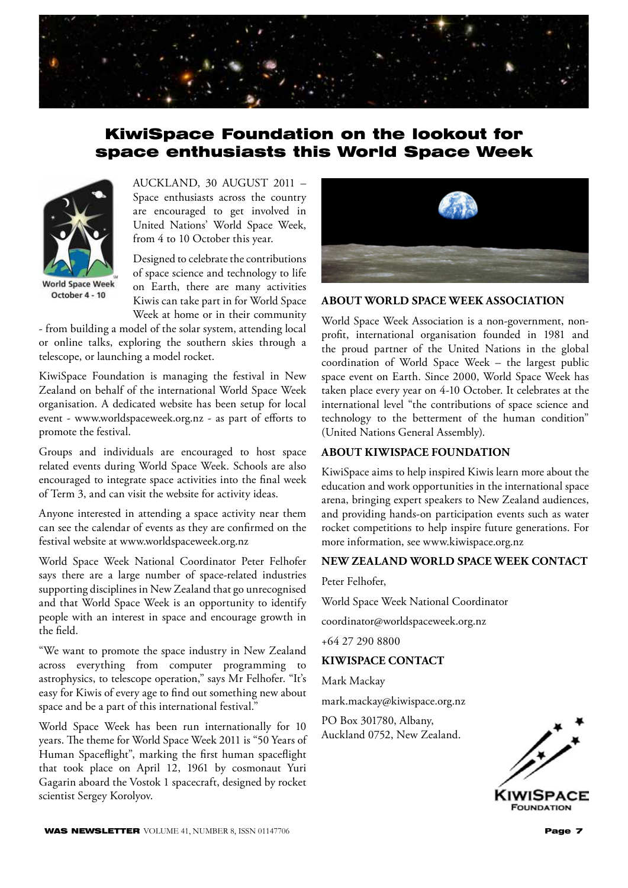

# KiwiSpace Foundation on the lookout for space enthusiasts this World Space Week



**World Space Week** October 4 - 10

AUCKLAND, 30 AUGUST 2011 – Space enthusiasts across the country are encouraged to get involved in United Nations' World Space Week, from 4 to 10 October this year.

Designed to celebrate the contributions of space science and technology to life on Earth, there are many activities Kiwis can take part in for World Space Week at home or in their community

- from building a model of the solar system, attending local or online talks, exploring the southern skies through a telescope, or launching a model rocket.

KiwiSpace Foundation is managing the festival in New Zealand on behalf of the international World Space Week organisation. A dedicated website has been setup for local event - www.worldspaceweek.org.nz - as part of efforts to promote the festival.

Groups and individuals are encouraged to host space related events during World Space Week. Schools are also encouraged to integrate space activities into the final week of Term 3, and can visit the website for activity ideas.

Anyone interested in attending a space activity near them can see the calendar of events as they are confirmed on the festival website at www.worldspaceweek.org.nz

World Space Week National Coordinator Peter Felhofer says there are a large number of space-related industries supporting disciplines in New Zealand that go unrecognised and that World Space Week is an opportunity to identify people with an interest in space and encourage growth in the field.

"We want to promote the space industry in New Zealand across everything from computer programming to astrophysics, to telescope operation," says Mr Felhofer. "It's easy for Kiwis of every age to find out something new about space and be a part of this international festival."

World Space Week has been run internationally for 10 years. The theme for World Space Week 2011 is "50 Years of Human Spaceflight", marking the first human spaceflight that took place on April 12, 1961 by cosmonaut Yuri Gagarin aboard the Vostok 1 spacecraft, designed by rocket scientist Sergey Korolyov.



#### **ABOUT WORLD SPACE WEEK ASSOCIATION**

World Space Week Association is a non-government, nonprofit, international organisation founded in 1981 and the proud partner of the United Nations in the global coordination of World Space Week – the largest public space event on Earth. Since 2000, World Space Week has taken place every year on 4-10 October. It celebrates at the international level "the contributions of space science and technology to the betterment of the human condition" (United Nations General Assembly).

#### **ABOUT KIWISPACE FOUNDATION**

KiwiSpace aims to help inspired Kiwis learn more about the education and work opportunities in the international space arena, bringing expert speakers to New Zealand audiences, and providing hands-on participation events such as water rocket competitions to help inspire future generations. For more information, see www.kiwispace.org.nz

#### **NEW ZEALAND WORLD SPACE WEEK CONTACT**

Peter Felhofer,

World Space Week National Coordinator

coordinator@worldspaceweek.org.nz

+64 27 290 8800

#### **KIWISPACE CONTACT**

Mark Mackay

mark.mackay@kiwispace.org.nz

PO Box 301780, Albany, Auckland 0752, New Zealand.